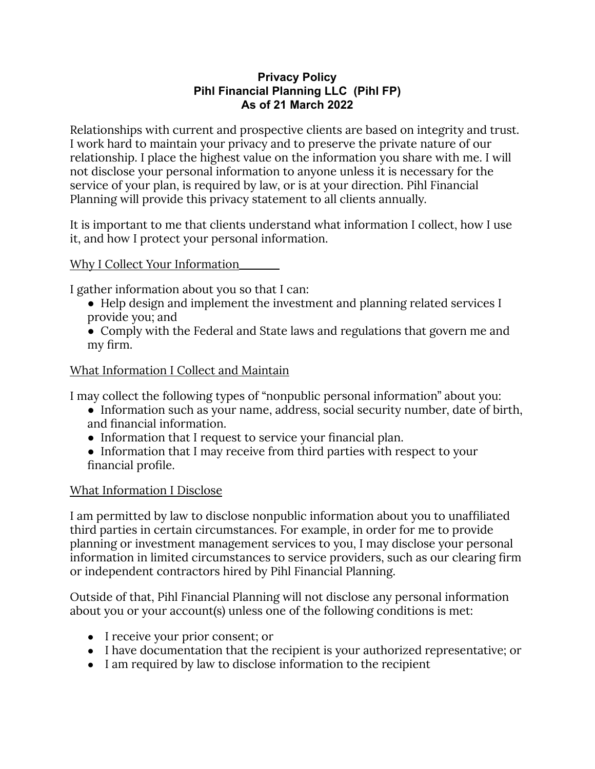#### **Privacy Policy Pihl Financial Planning LLC (Pihl FP) As of 21 March 2022**

Relationships with current and prospective clients are based on integrity and trust. I work hard to maintain your privacy and to preserve the private nature of our relationship. I place the highest value on the information you share with me. I will not disclose your personal information to anyone unless it is necessary for the service of your plan, is required by law, or is at your direction. Pihl Financial Planning will provide this privacy statement to all clients annually.

It is important to me that clients understand what information I collect, how I use it, and how I protect your personal information.

## Why I Collect Your Information

I gather information about you so that I can:

- Help design and implement the investment and planning related services I provide you; and
- Comply with the Federal and State laws and regulations that govern me and my firm.

## What Information I Collect and Maintain

I may collect the following types of "nonpublic personal information" about you:

- Information such as your name, address, social security number, date of birth, and financial information.
- Information that I request to service your financial plan.
- Information that I may receive from third parties with respect to your financial profile.

# What Information I Disclose

I am permitted by law to disclose nonpublic information about you to unaffiliated third parties in certain circumstances. For example, in order for me to provide planning or investment management services to you, I may disclose your personal information in limited circumstances to service providers, such as our clearing firm or independent contractors hired by Pihl Financial Planning.

Outside of that, Pihl Financial Planning will not disclose any personal information about you or your account(s) unless one of the following conditions is met:

- I receive your prior consent; or
- I have documentation that the recipient is your authorized representative; or
- I am required by law to disclose information to the recipient